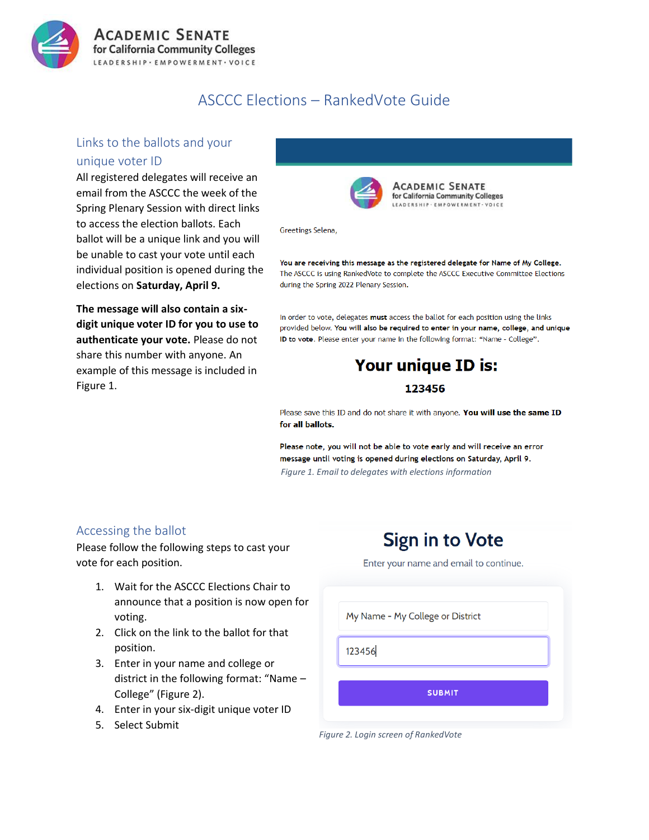

## ASCCC Elections – RankedVote Guide

## Links to the ballots and your unique voter ID

All registered delegates will receive an email from the ASCCC the week of the Spring Plenary Session with direct links to access the election ballots. Each ballot will be a unique link and you will be unable to cast your vote until each individual position is opened during the elections on **Saturday, April 9.**

**The message will also contain a sixdigit unique voter ID for you to use to authenticate your vote.** Please do not share this number with anyone. An example of this message is included in Figure 1.



ACADEMIC SENATE for California Community Colleges LEADERSHIP . EMPOWERMENT . VOICE

Greetings Selena,

You are receiving this message as the registered delegate for Name of My College. The ASCCC is using RankedVote to complete the ASCCC Executive Committee Elections during the Spring 2022 Plenary Session.

In order to vote, delegates must access the ballot for each position using the links provided below. You will also be required to enter in your name, college, and unique ID to vote. Please enter your name in the following format: "Name - College".

# Your unique ID is: 123456

Please save this ID and do not share it with anyone. You will use the same ID for all ballots.

Please note, you will not be able to vote early and will receive an error message until voting is opened during elections on Saturday, April 9. *Figure 1. Email to delegates with elections information*

## Accessing the ballot

Please follow the following steps to cast your vote for each position.

- 1. Wait for the ASCCC Elections Chair to announce that a position is now open for voting.
- 2. Click on the link to the ballot for that position.
- 3. Enter in your name and college or district in the following format: "Name – College" (Figure 2).
- 4. Enter in your six-digit unique voter ID
- 5. Select Submit

# **Sign in to Vote**

Enter your name and email to continue.

My Name - My College or District

123456

**SUBMIT** 

*Figure 2. Login screen of RankedVote*